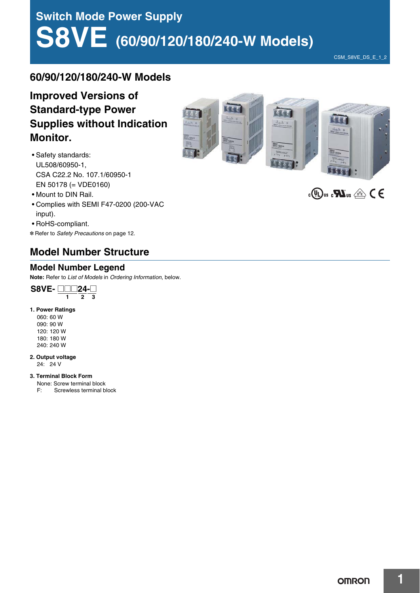# **Switch Mode Power Supply S8VE (60/90/120/180/240-W Models)**

CSM\_S8VE\_DS\_E\_1\_2

### **60/90/120/180/240-W Models**

### **Improved Versions of Standard-type Power Supplies without Indication Monitor.**

- Safety standards: UL508/60950-1, CSA C22.2 No. 107.1/60950-1 EN 50178 (= VDE0160)
- Mount to DIN Rail.
- Complies with SEMI F47-0200 (200-VAC input).
- RoHS-compliant.

\* Refer to Safety Precautions on page 12.

### **Model Number Structure**

### **Model Number Legend**

**Note:** Refer to List of Models in Ordering Information, below.



#### **1. Power Ratings**

060: 60 W 090: 90 W 120: 120 W 180: 180 W 240: 240 W

#### **2. Output voltage**

24: 24 V

#### **3. Terminal Block Form**

None: Screw terminal block





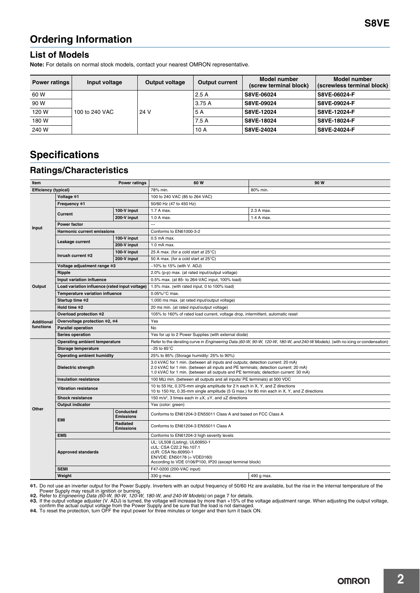### **Ordering Information**

### **List of Models**

**Note:** For details on normal stock models, contact your nearest OMRON representative.

| <b>Power ratings</b> | Input voltage  | <b>Output voltage</b> | <b>Output current</b> | Model number<br>(screw terminal block) | <b>Model number</b><br>(screwless terminal block) |
|----------------------|----------------|-----------------------|-----------------------|----------------------------------------|---------------------------------------------------|
| 60 W                 | 100 to 240 VAC | 24 V                  | 2.5A                  | S8VE-06024                             | S8VE-06024-F                                      |
| 90 W                 |                |                       | 3.75 A                | S8VE-09024                             | S8VE-09024-F                                      |
| 120 W                |                |                       | 5 A                   | S8VE-12024                             | S8VE-12024-F                                      |
| 180 W                |                |                       | 7.5A                  | S8VE-18024                             | S8VE-18024-F                                      |
| 240 W                |                |                       | 10A                   | S8VE-24024                             | S8VE-24024-F                                      |

## **Specifications**

### **Ratings/Characteristics**

| <b>Efficiency (typical)</b><br>78% min.<br>80% min.<br>100 to 240 VAC (85 to 264 VAC)<br>Voltage *1<br>Frequency *1<br>50/60 Hz (47 to 450 Hz)<br>100-V input<br>1.7 A max.<br>2.3 A max.<br>Current<br>200-V input<br>1.4 A max.<br>1.0 A max.<br><b>Power factor</b><br>---<br>Input<br><b>Harmonic current emissions</b><br>Conforms to EN61000-3-2<br>100-V input<br>$0.5$ mA max.<br>Leakage current<br>200-V input<br>1.0 mA max.<br>100-V input<br>25 A max. (for a cold start at 25°C)<br>Inrush current *2<br>200-V input<br>50 A max. (for a cold start at 25°C)<br>Voltage adjustment range *3<br>$-10\%$ to 15% (with V. ADJ)<br>2.0% (p-p) max. (at rated input/output voltage)<br>Ripple<br>Input variation influence<br>0.5% max. (at 85- to 264-VAC input, 100% load)<br>Output<br>Load variation influence (rated input voltage)<br>1.5% max. (with rated input, 0 to 100% load)<br><b>Temperature variation influence</b><br>0.05%/°C max. | <b>Power ratings</b><br>Item |                 | 60 W | 90 W                                                                                                                          |  |  |
|--------------------------------------------------------------------------------------------------------------------------------------------------------------------------------------------------------------------------------------------------------------------------------------------------------------------------------------------------------------------------------------------------------------------------------------------------------------------------------------------------------------------------------------------------------------------------------------------------------------------------------------------------------------------------------------------------------------------------------------------------------------------------------------------------------------------------------------------------------------------------------------------------------------------------------------------------------------|------------------------------|-----------------|------|-------------------------------------------------------------------------------------------------------------------------------|--|--|
|                                                                                                                                                                                                                                                                                                                                                                                                                                                                                                                                                                                                                                                                                                                                                                                                                                                                                                                                                              |                              |                 |      |                                                                                                                               |  |  |
|                                                                                                                                                                                                                                                                                                                                                                                                                                                                                                                                                                                                                                                                                                                                                                                                                                                                                                                                                              |                              |                 |      |                                                                                                                               |  |  |
|                                                                                                                                                                                                                                                                                                                                                                                                                                                                                                                                                                                                                                                                                                                                                                                                                                                                                                                                                              |                              |                 |      |                                                                                                                               |  |  |
|                                                                                                                                                                                                                                                                                                                                                                                                                                                                                                                                                                                                                                                                                                                                                                                                                                                                                                                                                              |                              |                 |      |                                                                                                                               |  |  |
|                                                                                                                                                                                                                                                                                                                                                                                                                                                                                                                                                                                                                                                                                                                                                                                                                                                                                                                                                              |                              |                 |      |                                                                                                                               |  |  |
|                                                                                                                                                                                                                                                                                                                                                                                                                                                                                                                                                                                                                                                                                                                                                                                                                                                                                                                                                              |                              |                 |      |                                                                                                                               |  |  |
|                                                                                                                                                                                                                                                                                                                                                                                                                                                                                                                                                                                                                                                                                                                                                                                                                                                                                                                                                              |                              |                 |      |                                                                                                                               |  |  |
|                                                                                                                                                                                                                                                                                                                                                                                                                                                                                                                                                                                                                                                                                                                                                                                                                                                                                                                                                              |                              |                 |      |                                                                                                                               |  |  |
|                                                                                                                                                                                                                                                                                                                                                                                                                                                                                                                                                                                                                                                                                                                                                                                                                                                                                                                                                              |                              |                 |      |                                                                                                                               |  |  |
|                                                                                                                                                                                                                                                                                                                                                                                                                                                                                                                                                                                                                                                                                                                                                                                                                                                                                                                                                              |                              |                 |      |                                                                                                                               |  |  |
|                                                                                                                                                                                                                                                                                                                                                                                                                                                                                                                                                                                                                                                                                                                                                                                                                                                                                                                                                              |                              |                 |      |                                                                                                                               |  |  |
|                                                                                                                                                                                                                                                                                                                                                                                                                                                                                                                                                                                                                                                                                                                                                                                                                                                                                                                                                              |                              |                 |      |                                                                                                                               |  |  |
|                                                                                                                                                                                                                                                                                                                                                                                                                                                                                                                                                                                                                                                                                                                                                                                                                                                                                                                                                              |                              |                 |      |                                                                                                                               |  |  |
|                                                                                                                                                                                                                                                                                                                                                                                                                                                                                                                                                                                                                                                                                                                                                                                                                                                                                                                                                              |                              |                 |      |                                                                                                                               |  |  |
|                                                                                                                                                                                                                                                                                                                                                                                                                                                                                                                                                                                                                                                                                                                                                                                                                                                                                                                                                              |                              |                 |      |                                                                                                                               |  |  |
|                                                                                                                                                                                                                                                                                                                                                                                                                                                                                                                                                                                                                                                                                                                                                                                                                                                                                                                                                              |                              |                 |      |                                                                                                                               |  |  |
|                                                                                                                                                                                                                                                                                                                                                                                                                                                                                                                                                                                                                                                                                                                                                                                                                                                                                                                                                              |                              | Startup time *2 |      | 1,000 ms max. (at rated input/output voltage)                                                                                 |  |  |
| Hold time *2<br>20 ms min. (at rated input/output voltage)                                                                                                                                                                                                                                                                                                                                                                                                                                                                                                                                                                                                                                                                                                                                                                                                                                                                                                   |                              |                 |      |                                                                                                                               |  |  |
| Overload protection *2<br>105% to 160% of rated load current, voltage drop, intermittent, automatic reset                                                                                                                                                                                                                                                                                                                                                                                                                                                                                                                                                                                                                                                                                                                                                                                                                                                    |                              |                 |      |                                                                                                                               |  |  |
| Overvoltage protection *2, *4<br>Yes<br><b>Additional</b>                                                                                                                                                                                                                                                                                                                                                                                                                                                                                                                                                                                                                                                                                                                                                                                                                                                                                                    |                              |                 |      |                                                                                                                               |  |  |
| functions<br><b>No</b><br><b>Parallel operation</b>                                                                                                                                                                                                                                                                                                                                                                                                                                                                                                                                                                                                                                                                                                                                                                                                                                                                                                          |                              |                 |      |                                                                                                                               |  |  |
| Yes for up to 2 Power Supplies (with external diode)<br>Series operation                                                                                                                                                                                                                                                                                                                                                                                                                                                                                                                                                                                                                                                                                                                                                                                                                                                                                     |                              |                 |      |                                                                                                                               |  |  |
| Operating ambient temperature                                                                                                                                                                                                                                                                                                                                                                                                                                                                                                                                                                                                                                                                                                                                                                                                                                                                                                                                |                              |                 |      | Refer to the derating curve in Engineering Data (60-W, 90-W, 120-W, 180-W, and 240-W Models). (with no icing or condensation) |  |  |
| Storage temperature<br>$-25$ to 65 $^{\circ}$ C                                                                                                                                                                                                                                                                                                                                                                                                                                                                                                                                                                                                                                                                                                                                                                                                                                                                                                              |                              |                 |      |                                                                                                                               |  |  |
| Operating ambient humidity<br>25% to 85% (Storage humidity: 25% to 90%)                                                                                                                                                                                                                                                                                                                                                                                                                                                                                                                                                                                                                                                                                                                                                                                                                                                                                      |                              |                 |      |                                                                                                                               |  |  |
| 3.0 kVAC for 1 min. (between all inputs and outputs; detection current: 20 mA)<br>2.0 kVAC for 1 min. (between all inputs and PE terminals; detection current: 20 mA)<br>Dielectric strength<br>1.0 kVAC for 1 min. (between all outputs and PE terminals; detection current: 30 mA)                                                                                                                                                                                                                                                                                                                                                                                                                                                                                                                                                                                                                                                                         |                              |                 |      |                                                                                                                               |  |  |
| <b>Insulation resistance</b><br>100 $\text{M}\Omega$ min. (between all outputs and all inputs/ PE terminals) at 500 VDC                                                                                                                                                                                                                                                                                                                                                                                                                                                                                                                                                                                                                                                                                                                                                                                                                                      |                              |                 |      |                                                                                                                               |  |  |
| 10 to 55 Hz, 0.375-mm single amplitude for 2 h each in X, Y, and Z directions<br><b>Vibration resistance</b><br>10 to 150 Hz, 0.35-mm single amplitude (5 G max.) for 80 min each in X, Y, and Z directions                                                                                                                                                                                                                                                                                                                                                                                                                                                                                                                                                                                                                                                                                                                                                  |                              |                 |      |                                                                                                                               |  |  |
| <b>Shock resistance</b><br>150 m/s <sup>2</sup> , 3 times each in $\pm X$ , $\pm Y$ , and $\pm Z$ directions                                                                                                                                                                                                                                                                                                                                                                                                                                                                                                                                                                                                                                                                                                                                                                                                                                                 |                              |                 |      |                                                                                                                               |  |  |
| <b>Output indicator</b><br>Yes (color: green)<br>Other                                                                                                                                                                                                                                                                                                                                                                                                                                                                                                                                                                                                                                                                                                                                                                                                                                                                                                       |                              |                 |      |                                                                                                                               |  |  |
| Conducted<br>Conforms to EN61204-3 EN55011 Class A and based on FCC Class A<br><b>Emissions</b><br><b>EMI</b>                                                                                                                                                                                                                                                                                                                                                                                                                                                                                                                                                                                                                                                                                                                                                                                                                                                |                              |                 |      |                                                                                                                               |  |  |
| Radiated<br>Conforms to EN61204-3 EN55011 Class A<br><b>Emissions</b>                                                                                                                                                                                                                                                                                                                                                                                                                                                                                                                                                                                                                                                                                                                                                                                                                                                                                        |                              |                 |      |                                                                                                                               |  |  |
| <b>EMS</b><br>Conforms to EN61204-3 high severity levels                                                                                                                                                                                                                                                                                                                                                                                                                                                                                                                                                                                                                                                                                                                                                                                                                                                                                                     |                              |                 |      |                                                                                                                               |  |  |
| UL: UL508 (Listing), UL60950-1<br>cUL: CSA C22.2 No.107.1<br><b>Approved standards</b><br>cUR: CSA No.60950-1<br>EN/VDE: EN50178 (= VDE0160)<br>According to VDE 0106/P100, IP20 (except terminal block)                                                                                                                                                                                                                                                                                                                                                                                                                                                                                                                                                                                                                                                                                                                                                     |                              |                 |      |                                                                                                                               |  |  |
| <b>SEMI</b><br>F47-0200 (200-VAC input)                                                                                                                                                                                                                                                                                                                                                                                                                                                                                                                                                                                                                                                                                                                                                                                                                                                                                                                      |                              |                 |      |                                                                                                                               |  |  |
| Weight<br>330 g max.<br>490 g max.                                                                                                                                                                                                                                                                                                                                                                                                                                                                                                                                                                                                                                                                                                                                                                                                                                                                                                                           |                              |                 |      |                                                                                                                               |  |  |

**\*1.** Do not use an inverter output for the Power Supply. Inverters with an output frequency of 50/60 Hz are available, but the rise in the internal temperature of the<br>Power Supply may result in ignition or burning.<br>**\*2.**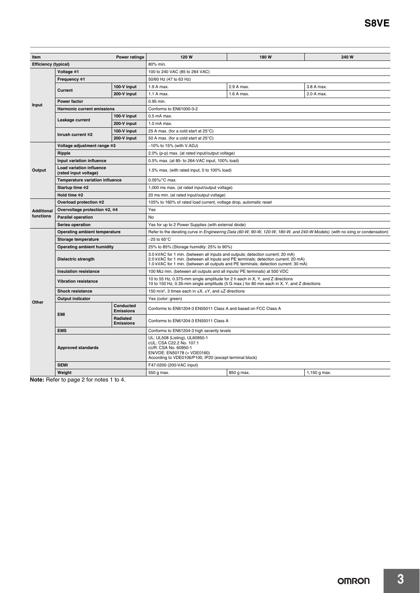| <b>Power ratings</b><br>Item         |                                                   | 120 W                                                                                                                         | 180W                                                                                                                                                                                                                                                          | 240 W      |              |  |
|--------------------------------------|---------------------------------------------------|-------------------------------------------------------------------------------------------------------------------------------|---------------------------------------------------------------------------------------------------------------------------------------------------------------------------------------------------------------------------------------------------------------|------------|--------------|--|
| <b>Efficiency (typical)</b>          |                                                   |                                                                                                                               | 80% min.                                                                                                                                                                                                                                                      |            |              |  |
|                                      | Voltage *1                                        |                                                                                                                               | 100 to 240 VAC (85 to 264 VAC)                                                                                                                                                                                                                                |            |              |  |
| Input                                | Frequency *1                                      |                                                                                                                               | 50/60 Hz (47 to 63 Hz)                                                                                                                                                                                                                                        |            |              |  |
|                                      |                                                   | 100-V input                                                                                                                   | 1.9 A max.                                                                                                                                                                                                                                                    | 2.9 A max. | 3.8 A max.   |  |
|                                      | Current                                           | 200-V input                                                                                                                   | 1.1 A max.                                                                                                                                                                                                                                                    | 1.6 A max. | 2.0 A max.   |  |
|                                      | <b>Power factor</b>                               |                                                                                                                               | 0.95 min.                                                                                                                                                                                                                                                     |            |              |  |
|                                      | Harmonic current emissions                        |                                                                                                                               | Conforms to EN61000-3-2                                                                                                                                                                                                                                       |            |              |  |
|                                      |                                                   | 100-V input                                                                                                                   | $0.5$ mA max.                                                                                                                                                                                                                                                 |            |              |  |
|                                      | Leakage current                                   | 200-V input                                                                                                                   | 1.0 mA max.                                                                                                                                                                                                                                                   |            |              |  |
|                                      |                                                   | 100-V input                                                                                                                   | 25 A max. (for a cold start at 25°C)                                                                                                                                                                                                                          |            |              |  |
|                                      | Inrush current *2                                 | 200-V input                                                                                                                   | 50 A max. (for a cold start at 25°C)                                                                                                                                                                                                                          |            |              |  |
|                                      | Voltage adjustment range *3                       |                                                                                                                               | $-10\%$ to 15% (with V.ADJ)                                                                                                                                                                                                                                   |            |              |  |
|                                      | Ripple                                            |                                                                                                                               | 2.0% (p-p) max. (at rated input/output voltage)                                                                                                                                                                                                               |            |              |  |
|                                      | Input variation influence                         |                                                                                                                               | 0.5% max. (at 85- to 264-VAC input, 100% load)                                                                                                                                                                                                                |            |              |  |
| Output                               | Load variation influence<br>(rated input voltage) |                                                                                                                               | 1.5% max. (with rated input, 0 to 100% load)                                                                                                                                                                                                                  |            |              |  |
|                                      | Temperature variation influence                   |                                                                                                                               | 0.05%/°C max.                                                                                                                                                                                                                                                 |            |              |  |
|                                      | Startup time *2                                   |                                                                                                                               | 1,000 ms max. (at rated input/output voltage)                                                                                                                                                                                                                 |            |              |  |
| Hold time *2                         |                                                   |                                                                                                                               | 20 ms min. (at rated input/output voltage)                                                                                                                                                                                                                    |            |              |  |
| Overload protection *2               |                                                   |                                                                                                                               | 105% to 160% of rated load current, voltage drop, automatic reset                                                                                                                                                                                             |            |              |  |
| <b>Additional</b>                    | Overvoltage protection *2, *4                     |                                                                                                                               | Yes                                                                                                                                                                                                                                                           |            |              |  |
| functions                            | <b>Parallel operation</b>                         |                                                                                                                               | No                                                                                                                                                                                                                                                            |            |              |  |
|                                      | Series operation                                  |                                                                                                                               | Yes for up to 2 Power Supplies (with external diode)                                                                                                                                                                                                          |            |              |  |
| <b>Operating ambient temperature</b> |                                                   | Refer to the derating curve in Engineering Data (60-W, 90-W, 120-W, 180-W, and 240-W Models). (with no icing or condensation) |                                                                                                                                                                                                                                                               |            |              |  |
|                                      | Storage temperature                               |                                                                                                                               | $-25$ to 65°C                                                                                                                                                                                                                                                 |            |              |  |
|                                      | Operating ambient humidity                        |                                                                                                                               | 25% to 85% (Storage humidity: 25% to 90%)                                                                                                                                                                                                                     |            |              |  |
|                                      | Dielectric strength                               |                                                                                                                               | 3.0 kVAC for 1 min. (between all inputs and outputs; detection current: 20 mA)<br>2.0 kVAC for 1 min. (between all inputs and PE terminals; detection current: 20 mA)<br>1.0 kVAC for 1 min. (between all outputs and PE terminals; detection current: 30 mA) |            |              |  |
|                                      | <b>Insulation resistance</b>                      |                                                                                                                               | 100 MΩ min. (between all outputs and all inputs/ PE terminals) at 500 VDC                                                                                                                                                                                     |            |              |  |
|                                      | <b>Vibration resistance</b>                       |                                                                                                                               | 10 to 55 Hz, 0.375-mm single amplitude for 2 h each in X, Y, and Z directions<br>10 to 150 Hz, 0.35-mm single amplitude (5 G max.) for 80 min each in X, Y, and Z directions                                                                                  |            |              |  |
|                                      | <b>Shock resistance</b>                           |                                                                                                                               | 150 m/s <sup>2</sup> , 3 times each in $\pm X$ , $\pm Y$ , and $\pm Z$ directions                                                                                                                                                                             |            |              |  |
| Other                                | <b>Output indicator</b>                           |                                                                                                                               | Yes (color: green)                                                                                                                                                                                                                                            |            |              |  |
|                                      | <b>EMI</b>                                        | Conducted<br><b>Emissions</b>                                                                                                 | Conforms to EN61204-3 EN55011 Class A and based on FCC Class A                                                                                                                                                                                                |            |              |  |
|                                      |                                                   | Radiated<br><b>Emissions</b>                                                                                                  | Conforms to EN61204-3 EN55011 Class A                                                                                                                                                                                                                         |            |              |  |
|                                      | <b>EMS</b>                                        |                                                                                                                               | Conforms to EN61204-3 high severity levels                                                                                                                                                                                                                    |            |              |  |
|                                      | <b>Approved standards</b>                         |                                                                                                                               | UL: UL508 (Listing), UL60950-1<br>cUL: CSA C22.2 No. 107.1<br>cUR: CSA No. 60950-1<br>EN/VDE: EN50178 (= VDE0160)<br>According to VDE0106/P100, IP20 (except terminal block)                                                                                  |            |              |  |
|                                      | <b>SEMI</b>                                       |                                                                                                                               | F47-0200 (200-VAC input)                                                                                                                                                                                                                                      |            |              |  |
|                                      | Weight                                            |                                                                                                                               | 550 g max.                                                                                                                                                                                                                                                    | 850 g max. | 1,150 g max. |  |

**Note:** Refer to page 2 for notes 1 to 4.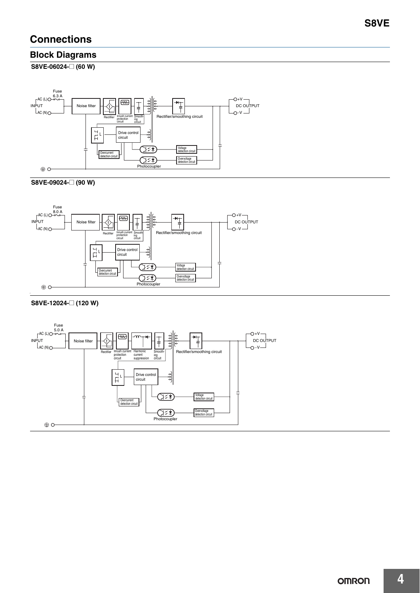### **Connections**

### **Block Diagrams**

**S8VE-06024-**@ **(60 W)**



#### **S8VE-09024-**@ **(90 W)**



#### **S8VE-12024-**@ **(120 W)**

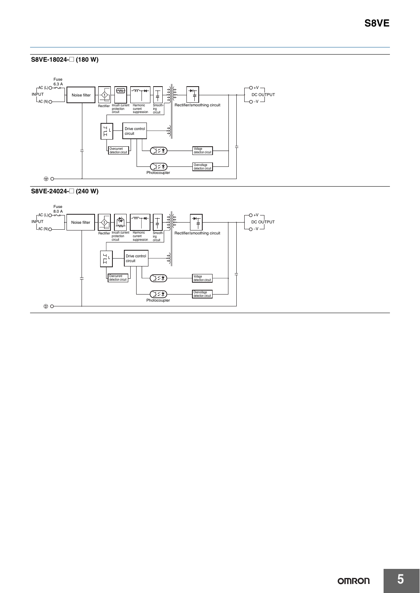#### **S8VE-18024-**@ **(180 W)**





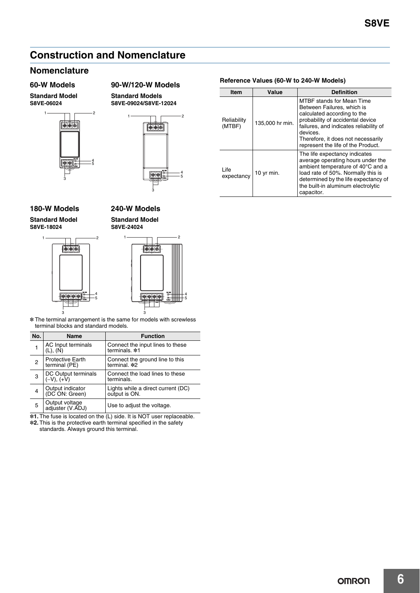### **Construction and Nomenclature**

### **Nomenclature**

**Standard Model S8VE-06024**

1





3

#### **180-W Models 240-W Models**

**Standard Model S8VE-18024**



#### **Standard Model S8VE-24024**

**Standard Models**

\* The terminal arrangement is the same for models with screwless terminal blocks and standard models.

| No.                     | Name                                     | <b>Function</b>                                     |
|-------------------------|------------------------------------------|-----------------------------------------------------|
| 1                       | AC Input terminals<br>$(L)$ , $(N)$      | Connect the input lines to these<br>terminals. *1   |
| $\overline{2}$          | <b>Protective Earth</b><br>terminal (PE) | Connect the ground line to this<br>terminal. *2     |
| 3                       | DC Output terminals<br>$(-V)$ , $(+V)$   | Connect the load lines to these<br>terminals.       |
| $\overline{\mathbf{4}}$ | Output indicator<br>(DC ON: Green)       | Lights while a direct current (DC)<br>output is ON. |
| 5                       | Output voltage<br>adjuster (V.ADJ)       | Use to adjust the voltage.                          |

\*1. The fuse is located on the (L) side. It is NOT user replaceable.

\*2. This is the protective earth terminal specified in the safety

standards. Always ground this terminal.

### **Reference Values (60-W to 240-W Models) 60-W Models 90-W/120-W Models**

| Item                             | Value           | <b>Definition</b>                                                                                                                                                                                                                                                   |  |
|----------------------------------|-----------------|---------------------------------------------------------------------------------------------------------------------------------------------------------------------------------------------------------------------------------------------------------------------|--|
| Reliability<br>(MTBF)            | 135,000 hr min. | <b>MTBF</b> stands for Mean Time<br>Between Failures, which is<br>calculated according to the<br>probability of accidental device<br>failures, and indicates reliability of<br>devices.<br>Therefore, it does not necessarily<br>represent the life of the Product. |  |
| Life<br>10 yr min.<br>expectancy |                 | The life expectancy indicates<br>average operating hours under the<br>ambient temperature of 40°C and a<br>load rate of 50%. Normally this is<br>determined by the life expectancy of<br>the built-in aluminum electrolytic<br>capacitor.                           |  |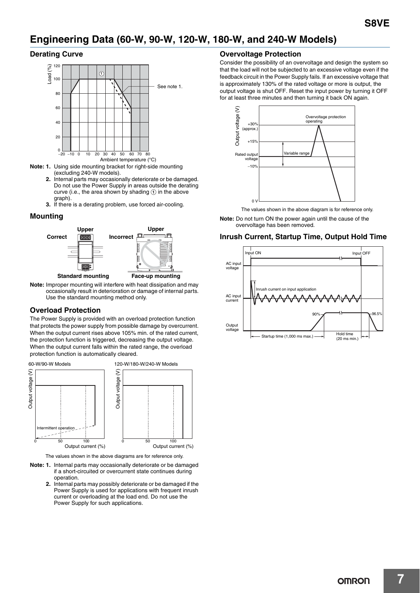### **Engineering Data (60-W, 90-W, 120-W, 180-W, and 240-W Models)**

#### **Derating Curve**



- **Note: 1.** Using side mounting bracket for right-side mounting (excluding 240-W models).
	- **2.** Internal parts may occasionally deteriorate or be damaged. Do not use the Power Supply in areas outside the derating curve (i.e., the area shown by shading  $\Omega$  in the above graph).
	- **3.** If there is a derating problem, use forced air-cooling.

#### **Mounting**



**Note:** Improper mounting will interfere with heat dissipation and may occasionally result in deterioration or damage of internal parts. Use the standard mounting method only.

#### **Overload Protection**

The Power Supply is provided with an overload protection function that protects the power supply from possible damage by overcurrent. When the output current rises above 105% min. of the rated current, the protection function is triggered, decreasing the output voltage. When the output current falls within the rated range, the overload protection function is automatically cleared.



The values shown in the above diagrams are for reference only.

- **Note: 1.** Internal parts may occasionally deteriorate or be damaged if a short-circuited or overcurrent state continues during operation.
	- **2.** Internal parts may possibly deteriorate or be damaged if the Power Supply is used for applications with frequent inrush current or overloading at the load end. Do not use the Power Supply for such applications.

#### **Overvoltage Protection**

Consider the possibility of an overvoltage and design the system so that the load will not be subjected to an excessive voltage even if the feedback circuit in the Power Supply fails. If an excessive voltage that is approximately 130% of the rated voltage or more is output, the output voltage is shut OFF. Reset the input power by turning it OFF for at least three minutes and then turning it back ON again.



The values shown in the above diagram is for reference only.

**Note:** Do not turn ON the power again until the cause of the overvoltage has been removed.

#### **Inrush Current, Startup Time, Output Hold Time**

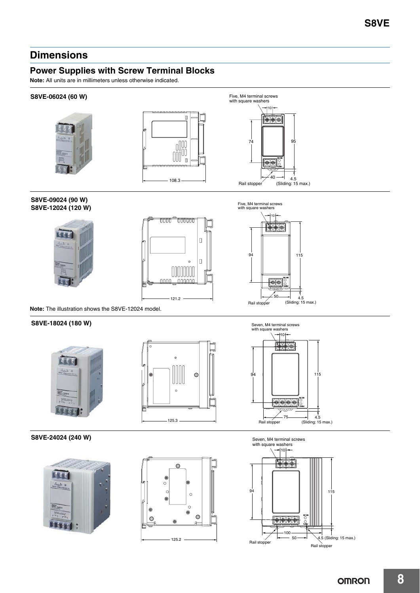### **Dimensions**

### **Power Supplies with Screw Terminal Blocks**

**Note:** All units are in millimeters unless otherwise indicated.

#### **S8VE-06024 (60 W)**







**S8VE-09024 (90 W) S8VE-12024 (120 W)**







**Note:** The illustration shows the S8VE-12024 model.

#### **S8VE-18024 (180 W)**







#### **S8VE-24024 (240 W)**





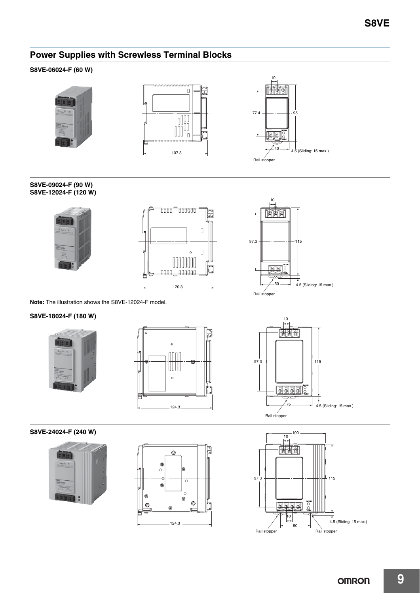### **Power Supplies with Screwless Terminal Blocks**

#### **S8VE-06024-F (60 W)**







**S8VE-09024-F (90 W) S8VE-12024-F (120 W)**







**Note:** The illustration shows the S8VE-12024-F model.

#### **S8VE-18024-F (180 W)**





10 图图图  $97.3$   $\leftarrow$   $\leftarrow$   $\leftarrow$   $\leftarrow$   $\leftarrow$   $\leftarrow$   $\leftarrow$   $\leftarrow$   $\leftarrow$   $\leftarrow$   $\leftarrow$   $\leftarrow$   $\leftarrow$   $\leftarrow$   $\leftarrow$   $\leftarrow$   $\leftarrow$   $\leftarrow$   $\leftarrow$   $\leftarrow$   $\leftarrow$   $\leftarrow$   $\leftarrow$   $\leftarrow$   $\leftarrow$   $\leftarrow$   $\leftarrow$   $\leftarrow$   $\leftarrow$   $\leftarrow$   $\leftarrow$   $\leftarrow$   $\leftarrow$   $\leftarrow$   $\leftarrow$   $\leftarrow$ 555 ွိ 4.5 (Sliding: 15 max.) Rail stopper

#### **S8VE-24024-F (240 W)**





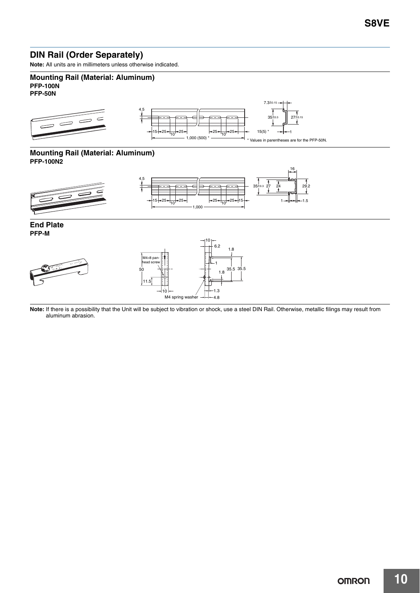### **DIN Rail (Order Separately)**

**Note:** All units are in millimeters unless otherwise indicated.

#### **Mounting Rail (Material: Aluminum) PFP-100N PFP-50N**



#### **Mounting Rail (Material: Aluminum) PFP-100N2**



**End Plate PFP-M**



**Note:** If there is a possibility that the Unit will be subject to vibration or shock, use a steel DIN Rail. Otherwise, metallic filings may result from aluminum abrasion.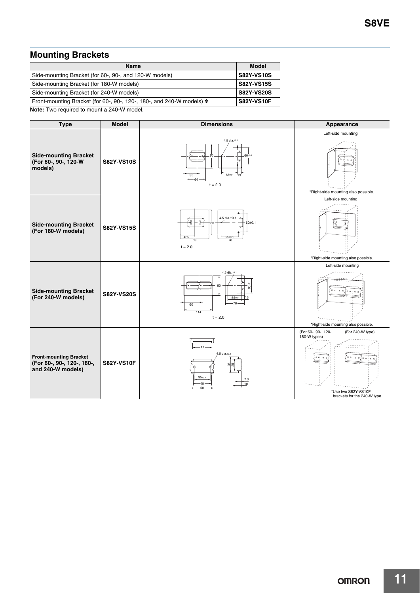### **Mounting Brackets**

| <b>Name</b>                                                             | Model             |
|-------------------------------------------------------------------------|-------------------|
| Side-mounting Bracket (for 60-, 90-, and 120-W models)                  | <b>S82Y-VS10S</b> |
| Side-mounting Bracket (for 180-W models)                                | <b>S82Y-VS15S</b> |
| Side-mounting Bracket (for 240-W models)                                | <b>S82Y-VS20S</b> |
| Front-mounting Bracket (for 60-, 90-, 120-, 180-, and 240-W models) $*$ | <b>S82Y-VS10F</b> |
|                                                                         |                   |

**Note:** Two required to mount a 240-W model.

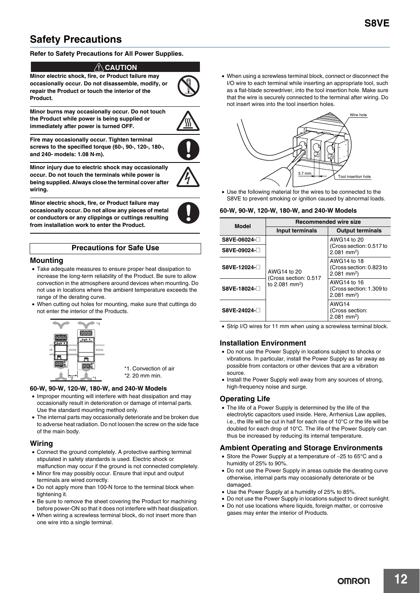### **Safety Precautions**

#### **Refer to Safety Precautions for All Power Supplies.**

#### $\land$ \ CAUTION

**Minor electric shock, fire, or Product failure may occasionally occur. Do not disassemble, modify, or repair the Product or touch the interior of the Product.**

**Minor burns may occasionally occur. Do not touch the Product while power is being supplied or immediately after power is turned OFF.**



**Fire may occasionally occur. Tighten terminal screws to the specified torque (60-, 90-, 120-, 180-, and 240- models: 1.08 N·m).**



**Minor injury due to electric shock may occasionally occur. Do not touch the terminals while power is being supplied. Always close the terminal cover after wiring.**

**Minor electric shock, fire, or Product failure may occasionally occur. Do not allow any pieces of metal or conductors or any clippings or cuttings resulting from installation work to enter the Product.**

#### **Precautions for Safe Use**

#### **Mounting**

- Take adequate measures to ensure proper heat dissipation to increase the long-term reliability of the Product. Be sure to allow convection in the atmosphere around devices when mounting. Do not use in locations where the ambient temperature exceeds the range of the derating curve.
- When cutting out holes for mounting, make sure that cuttings do not enter the interior of the Products.



\*1. Convection of air \*2. 20 mm min.

#### **60-W, 90-W, 120-W, 180-W, and 240-W Models**

- Improper mounting will interfere with heat dissipation and may occasionally result in deterioration or damage of internal parts. Use the standard mounting method only.
- The internal parts may occasionally deteriorate and be broken due to adverse heat radiation. Do not loosen the screw on the side face of the main body.

#### **Wiring**

- Connect the ground completely. A protective earthing terminal stipulated in safety standards is used. Electric shock or malfunction may occur if the ground is not connected completely.
- Minor fire may possibly occur. Ensure that input and output terminals are wired correctly.
- Do not apply more than 100-N force to the terminal block when tightening it.
- Be sure to remove the sheet covering the Product for machining before power-ON so that it does not interfere with heat dissipation.
- When wiring a screwless terminal block, do not insert more than one wire into a single terminal.

• When using a screwless terminal block, connect or disconnect the I/O wire to each terminal while inserting an appropriate tool, such as a flat-blade screwdriver, into the tool insertion hole. Make sure that the wire is securely connected to the terminal after wiring. Do not insert wires into the tool insertion holes.



• Use the following material for the wires to be connected to the S8VE to prevent smoking or ignition caused by abnormal loads.

#### **60-W, 90-W, 120-W, 180-W, and 240-W Models**

| <b>Model</b> | <b>Recommended wire size</b>                                       |                                                                      |  |
|--------------|--------------------------------------------------------------------|----------------------------------------------------------------------|--|
|              | Input terminals                                                    | <b>Output terminals</b>                                              |  |
| S8VE-06024-  | AWG14 to 20<br>(Cross section: 0.517<br>to 2.081 mm <sup>2</sup> ) | AWG14 to 20                                                          |  |
| S8VE-09024-□ |                                                                    | (Cross section: 0.517 to<br>$2.081$ mm <sup>2</sup> )                |  |
| S8VE-12024-□ |                                                                    | AWG14 to 18<br>(Cross section: 0.823 to<br>$2.081$ mm <sup>2</sup> ) |  |
| S8VE-18024-□ |                                                                    | AWG14 to 16<br>(Cross section: 1.309 to<br>$2.081$ mm <sup>2</sup> ) |  |
| S8VE-24024-□ |                                                                    | AWG14<br>(Cross section:<br>$2.081$ mm <sup>2</sup> )                |  |

• Strip I/O wires for 11 mm when using a screwless terminal block.

#### **Installation Environment**

- Do not use the Power Supply in locations subject to shocks or vibrations. In particular, install the Power Supply as far away as possible from contactors or other devices that are a vibration source.
- Install the Power Supply well away from any sources of strong, high-frequency noise and surge.

#### **Operating Life**

• The life of a Power Supply is determined by the life of the electrolytic capacitors used inside. Here, Arrhenius Law applies, i.e., the life will be cut in half for each rise of 10°C or the life will be doubled for each drop of 10°C. The life of the Power Supply can thus be increased by reducing its internal temperature.

#### **Ambient Operating and Storage Environments**

- Store the Power Supply at a temperature of −25 to 65°C and a humidity of 25% to 90%.
- Do not use the Power Supply in areas outside the derating curve otherwise, internal parts may occasionally deteriorate or be damaged
- Use the Power Supply at a humidity of 25% to 85%.
- Do not use the Power Supply in locations subject to direct sunlight.
- Do not use locations where liquids, foreign matter, or corrosive gases may enter the interior of Products.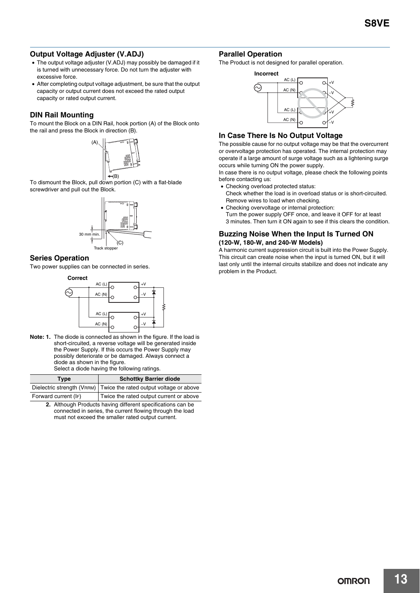#### **Output Voltage Adjuster (V.ADJ)**

- The output voltage adjuster (V.ADJ) may possibly be damaged if it is turned with unnecessary force. Do not turn the adjuster with excessive force.
- After completing output voltage adjustment, be sure that the output capacity or output current does not exceed the rated output capacity or rated output current.

#### **DIN Rail Mounting**

To mount the Block on a DIN Rail, hook portion (A) of the Block onto the rail and press the Block in direction (B).



To dismount the Block, pull down portion (C) with a flat-blade screwdriver and pull out the Block.



#### **Series Operation**

Two power supplies can be connected in series.



**Note: 1.** The diode is connected as shown in the figure. If the load is short-circuited, a reverse voltage will be generated inside the Power Supply. If this occurs the Power Supply may possibly deteriorate or be damaged. Always connect a diode as shown in the figure. Select a diode having the following ratings.

| Tvpe                 | <b>Schottky Barrier diode</b>                                      |
|----------------------|--------------------------------------------------------------------|
|                      | Dielectric strength (VRRM) Twice the rated output voltage or above |
| Forward current (IF) | Twice the rated output current or above                            |

**2.** Although Products having different specifications can be connected in series, the current flowing through the load must not exceed the smaller rated output current.

#### **Parallel Operation**

The Product is not designed for parallel operation.



#### **In Case There Is No Output Voltage**

The possible cause for no output voltage may be that the overcurrent or overvoltage protection has operated. The internal protection may operate if a large amount of surge voltage such as a lightening surge occurs while turning ON the power supply.

In case there is no output voltage, please check the following points before contacting us:

- Checking overload protected status: Check whether the load is in overload status or is short-circuited.
- Remove wires to load when checking. • Checking overvoltage or internal protection:
- Turn the power supply OFF once, and leave it OFF for at least 3 minutes. Then turn it ON again to see if this clears the condition.

#### **Buzzing Noise When the Input Is Turned ON (120-W, 180-W, and 240-W Models)**

A harmonic current suppression circuit is built into the Power Supply. This circuit can create noise when the input is turned ON, but it will last only until the internal circuits stabilize and does not indicate any problem in the Product.